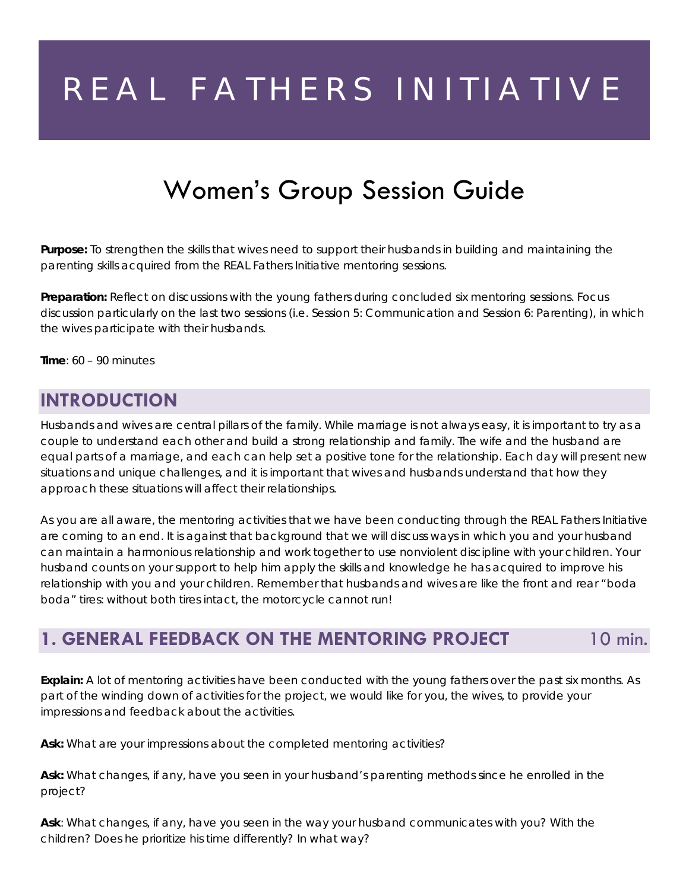# REAL FATHERS INITIATIVE

# Women's Group Session Guide

**Purpose:** To strengthen the skills that wives need to support their husbands in building and maintaining the parenting skills acquired from the REAL Fathers Initiative mentoring sessions.

**Preparation:** Reflect on discussions with the young fathers during concluded six mentoring sessions. Focus discussion particularly on the last two sessions (i.e. *Session 5: Communication* and *Session 6: Parenting),* in which the wives participate with their husbands.

**Time**: 60 – 90 minutes

#### **INTRODUCTION**

Husbands and wives are central pillars of the family. While marriage is not always easy, it is important to try as a couple to understand each other and build a strong relationship and family. The wife and the husband are equal parts of a marriage, and each can help set a positive tone for the relationship. Each day will present new situations and unique challenges, and it is important that wives and husbands understand that how they approach these situations will affect their relationships.

As you are all aware, the mentoring activities that we have been conducting through the REAL Fathers Initiative are coming to an end. It is against that background that we will discuss ways in which you and your husband can maintain a harmonious relationship and work together to use nonviolent discipline with your children. Your husband counts on your support to help him apply the skills and knowledge he has acquired to improve his relationship with you and your children. Remember that husbands and wives are like the front and rear "*boda boda"* tires: without both tires intact, the motorcycle cannot run!

#### **1. GENERAL FEEDBACK ON THE MENTORING PROJECT** 10 min.

**Explain:** A lot of mentoring activities have been conducted with the young fathers over the past six months. As part of the winding down of activities for the project, we would like for you, the wives, to provide your impressions and feedback about the activities.

**Ask:** What are your impressions about the completed mentoring activities?

**Ask:** What changes, if any, have you seen in your husband's parenting methods since he enrolled in the project?

**Ask**: What changes, if any, have you seen in the way your husband communicates with you? With the children? Does he prioritize his time differently? In what way?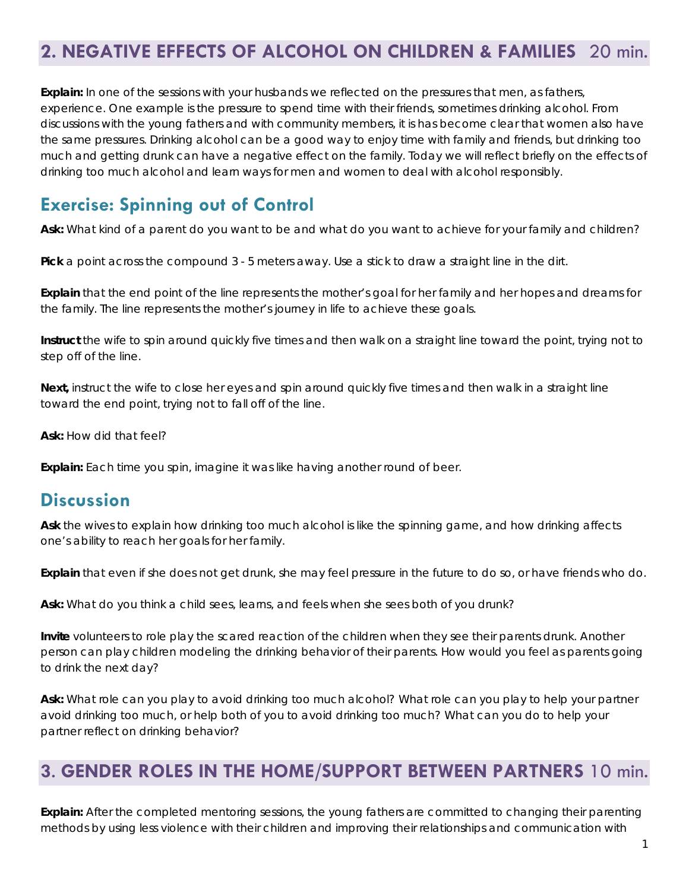# **2. NEGATIVE EFFECTS OF ALCOHOL ON CHILDREN & FAMILIES** 20 min.

**Explain:** In one of the sessions with your husbands we reflected on the pressures that men, as fathers, experience. One example is the pressure to spend time with their friends, sometimes drinking alcohol. From discussions with the young fathers and with community members, it is has become clear that women also have the same pressures. Drinking alcohol can be a good way to enjoy time with family and friends, but drinking too much and getting drunk can have a negative effect on the family. Today we will reflect briefly on the effects of drinking too much alcohol and learn ways for men and women to deal with alcohol responsibly.

# **Exercise: Spinning out of Control**

**Ask:** What kind of a parent do you want to be and what do you want to achieve for your family and children?

**Pick** a point across the compound 3 - 5 meters away. Use a stick to draw a straight line in the dirt.

**Explain** that the end point of the line represents the mother's goal for her family and her hopes and dreams for the family. The line represents the mother's journey in life to achieve these goals.

**Instruct** the wife to spin around quickly five times and then walk on a straight line toward the point, trying not to step off of the line.

**Next,** instruct the wife to close her eyes and spin around quickly five times and then walk in a straight line toward the end point, trying not to fall off of the line.

**Ask:** How did that feel?

**Explain:** Each time you spin, imagine it was like having another round of beer.

#### **Discussion**

**Ask** the wives to explain how drinking too much alcohol is like the spinning game, and how drinking affects one's ability to reach her goals for her family.

**Explain** that even if she does not get drunk, she may feel pressure in the future to do so, or have friends who do.

**Ask:** What do you think a child sees, learns, and feels when she sees both of you drunk?

**Invite** volunteers to role play the scared reaction of the children when they see their parents drunk. Another person can play children modeling the drinking behavior of their parents. How would you feel as parents going to drink the next day?

**Ask:** What role can you play to avoid drinking too much alcohol? What role can you play to help your partner avoid drinking too much, or help both of you to avoid drinking too much? What can you do to help your partner reflect on drinking behavior?

#### **3**. **GENDER ROLES IN THE HOME/SUPPORT BETWEEN PARTNERS** 10 min.

**Explain:** After the completed mentoring sessions, the young fathers are committed to changing their parenting methods by using less violence with their children and improving their relationships and communication with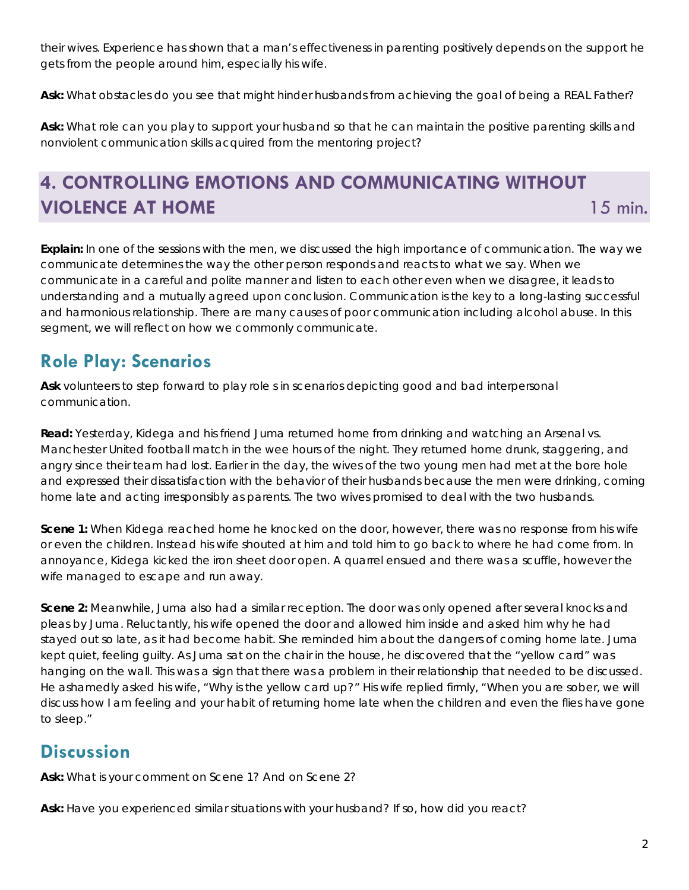their wives. Experience has shown that a man's effectiveness in parenting positively depends on the support he gets from the people around him, especially his wife.

**Ask:** What obstacles do you see that might hinder husbands from achieving the goal of being a REAL Father?

**Ask:** What role can you play to support your husband so that he can maintain the positive parenting skills and nonviolent communication skills acquired from the mentoring project?

# **4. CONTROLLING EMOTIONS AND COMMUNICATING WITHOUT VIOLENCE AT HOME 15 min.**

**Explain:** In one of the sessions with the men, we discussed the high importance of communication. The way we communicate determines the way the other person responds and reacts to what we say. When we communicate in a careful and polite manner and listen to each other even when we disagree, it leads to understanding and a mutually agreed upon conclusion. Communication is the key to a long-lasting successful and harmonious relationship. There are many causes of poor communication including alcohol abuse. In this segment, we will reflect on how we commonly communicate.

# **Role Play: Scenarios**

**Ask** volunteers to step forward to play role s in scenarios depicting good and bad interpersonal communication.

**Read:** Yesterday, Kidega and his friend Juma returned home from drinking and watching an Arsenal vs. Manchester United football match in the wee hours of the night. They returned home drunk, staggering, and angry since their team had lost. Earlier in the day, the wives of the two young men had met at the bore hole and expressed their dissatisfaction with the behavior of their husbands because the men were drinking, coming home late and acting irresponsibly as parents. The two wives promised to deal with the two husbands.

**Scene 1:** When Kidega reached home he knocked on the door, however, there was no response from his wife or even the children. Instead his wife shouted at him and told him to go back to where he had come from. In annoyance, Kidega kicked the iron sheet door open. A quarrel ensued and there was a scuffle, however the wife managed to escape and run away.

**Scene 2:** Meanwhile, Juma also had a similar reception. The door was only opened after several knocks and pleas by Juma. Reluctantly, his wife opened the door and allowed him inside and asked him why he had stayed out so late, as it had become habit. She reminded him about the dangers of coming home late. Juma kept quiet, feeling guilty. As Juma sat on the chair in the house, he discovered that the "yellow card" was hanging on the wall. This was a sign that there was a problem in their relationship that needed to be discussed. He ashamedly asked his wife, "Why is the yellow card up?" His wife replied firmly, "When you are sober, we will discuss how I am feeling and your habit of returning home late when the children and even the flies have gone to sleep."

# **Discussion**

**Ask:** What is your comment on Scene 1? And on Scene 2?

**Ask:** Have you experienced similar situations with your husband? If so, how did you react?